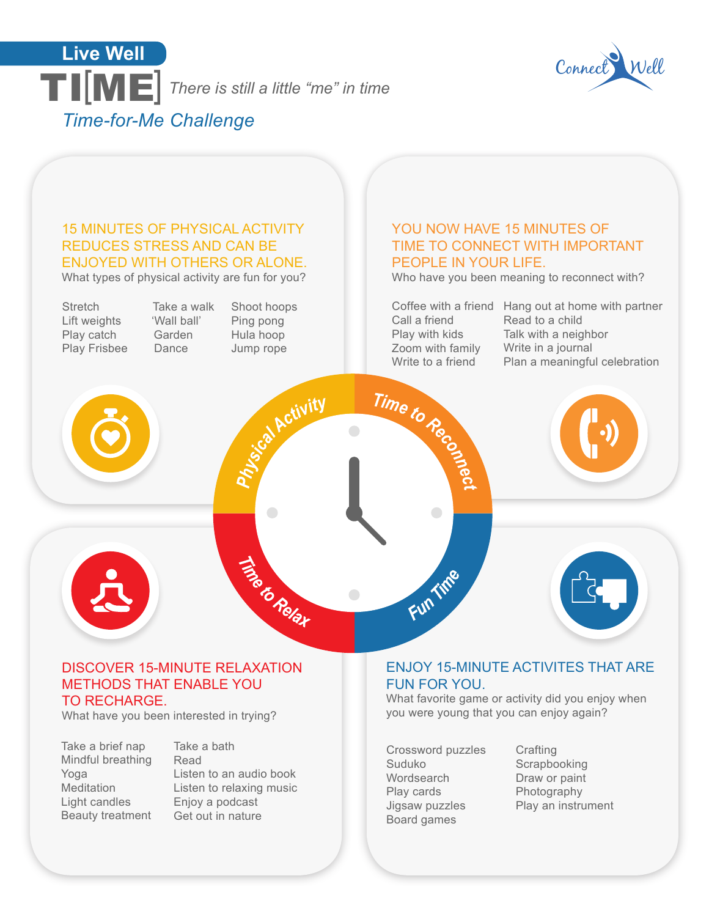



### 15 MINUTES OF PHYSICAL ACTIVITY REDUCES STRESS AND CAN BE ENJOYED WITH OTHERS OR ALONE.

What types of physical activity are fun for you?

**Stretch** Lift weights Play catch Play Frisbee

Take a walk 'Wall ball' Garden Dance

Shoot hoops Ping pong Hula hoop Jump rope

toa Activity

Time to Relax

### YOU NOW HAVE 15 MINUTES OF TIME TO CONNECT WITH IMPORTANT PEOPLE IN YOUR LIFE.

Who have you been meaning to reconnect with?

Call a friend Play with kids Zoom with family Write to a friend

Time to Recon

 $\bigcirc$ 

Fun Tine

Coffee with a friend Hang out at home with partner Read to a child Talk with a neighbor Write in a journal Plan a meaningful celebration





# ENJOY 15-MINUTE ACTIVITES THAT ARE

### METHODS THAT ENABLE YOU

TO RECHARGE.

What have you been interested in trying?

DISCOVER 15-MINUTE RELAXATION

Take a brief nap Mindful breathing Yoga Meditation Light candles Beauty treatment

Take a bath Read Listen to an audio book Listen to relaxing music Enjoy a podcast Get out in nature

# FUN FOR YOU.

What favorite game or activity did you enjoy when you were young that you can enjoy again?

Crossword puzzles Suduko **Wordsearch** Play cards Jigsaw puzzles Board games

**Crafting Scrapbooking** Draw or paint **Photography** Play an instrument